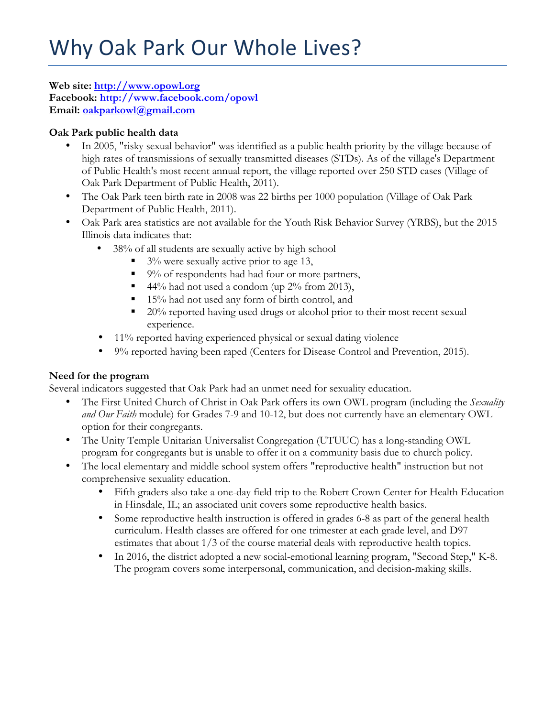**Web site: http://www.opowl.org Facebook: http://www.facebook.com/opowl Email: oakparkowl@gmail.com**

# **Oak Park public health data**

- In 2005, "risky sexual behavior" was identified as a public health priority by the village because of high rates of transmissions of sexually transmitted diseases (STDs). As of the village's Department of Public Health's most recent annual report, the village reported over 250 STD cases (Village of Oak Park Department of Public Health, 2011).
- The Oak Park teen birth rate in 2008 was 22 births per 1000 population (Village of Oak Park Department of Public Health, 2011).
- Oak Park area statistics are not available for the Youth Risk Behavior Survey (YRBS), but the 2015 Illinois data indicates that:
	- 38% of all students are sexually active by high school
		- § 3% were sexually active prior to age 13,
		- 9% of respondents had had four or more partners,
		- 44% had not used a condom (up 2% from 2013),
		- 15% had not used any form of birth control, and
		- § 20% reported having used drugs or alcohol prior to their most recent sexual experience.
	- 11% reported having experienced physical or sexual dating violence
	- 9% reported having been raped (Centers for Disease Control and Prevention, 2015).

## **Need for the program**

Several indicators suggested that Oak Park had an unmet need for sexuality education.

- The First United Church of Christ in Oak Park offers its own OWL program (including the *Sexuality and Our Faith* module) for Grades 7-9 and 10-12, but does not currently have an elementary OWL option for their congregants.
- The Unity Temple Unitarian Universalist Congregation (UTUUC) has a long-standing OWL program for congregants but is unable to offer it on a community basis due to church policy.
- The local elementary and middle school system offers "reproductive health" instruction but not comprehensive sexuality education.
	- Fifth graders also take a one-day field trip to the Robert Crown Center for Health Education in Hinsdale, IL; an associated unit covers some reproductive health basics.
	- Some reproductive health instruction is offered in grades 6-8 as part of the general health curriculum. Health classes are offered for one trimester at each grade level, and D97 estimates that about 1/3 of the course material deals with reproductive health topics.
	- In 2016, the district adopted a new social-emotional learning program, "Second Step," K-8. The program covers some interpersonal, communication, and decision-making skills.